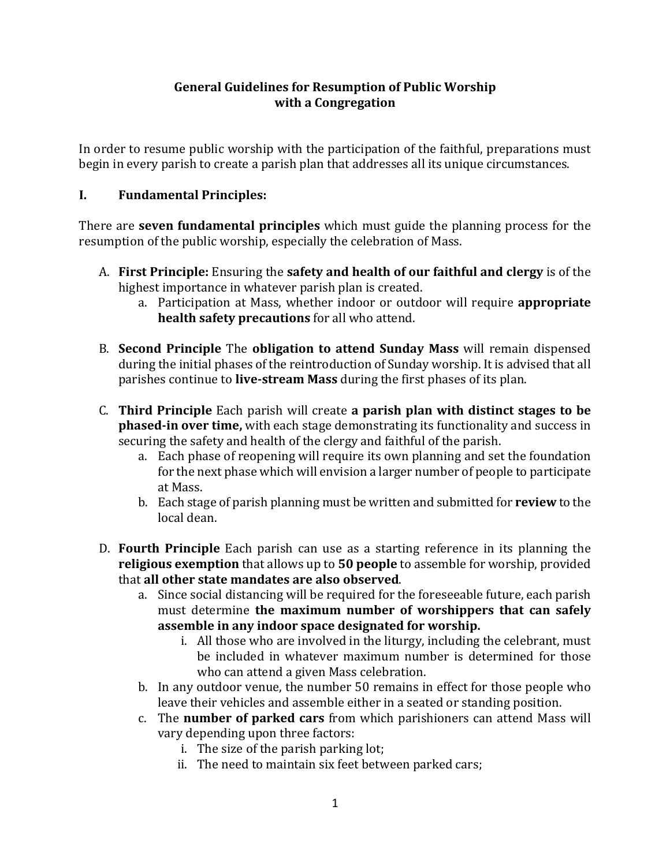## **General Guidelines for Resumption of Public Worship with a Congregation**

In order to resume public worship with the participation of the faithful, preparations must begin in every parish to create a parish plan that addresses all its unique circumstances.

## **I. Fundamental Principles:**

There are **seven fundamental principles** which must guide the planning process for the resumption of the public worship, especially the celebration of Mass.

- A. First Principle: Ensuring the safety and health of our faithful and clergy is of the highest importance in whatever parish plan is created.
	- a. Participation at Mass, whether indoor or outdoor will require **appropriate health safety precautions** for all who attend.
- B. **Second Principle** The **obligation to attend Sunday Mass** will remain dispensed during the initial phases of the reintroduction of Sunday worship. It is advised that all parishes continue to **live-stream Mass** during the first phases of its plan.
- C. **Third Principle** Each parish will create **a parish plan with distinct stages to be phased-in over time,** with each stage demonstrating its functionality and success in securing the safety and health of the clergy and faithful of the parish.
	- a. Each phase of reopening will require its own planning and set the foundation for the next phase which will envision a larger number of people to participate at Mass.
	- b. Each stage of parish planning must be written and submitted for **review** to the local dean.
- D. **Fourth Principle** Each parish can use as a starting reference in its planning the **religious exemption** that allows up to 50 people to assemble for worship, provided that **all other state mandates are also observed**.
	- a. Since social distancing will be required for the foreseeable future, each parish must determine **the maximum number of worshippers that can safely assemble in any indoor space designated for worship.**
		- i. All those who are involved in the liturgy, including the celebrant, must be included in whatever maximum number is determined for those who can attend a given Mass celebration.
	- b. In any outdoor venue, the number 50 remains in effect for those people who leave their vehicles and assemble either in a seated or standing position.
	- c. The **number of parked cars** from which parishioners can attend Mass will vary depending upon three factors:
		- i. The size of the parish parking lot;
		- ii. The need to maintain six feet between parked cars;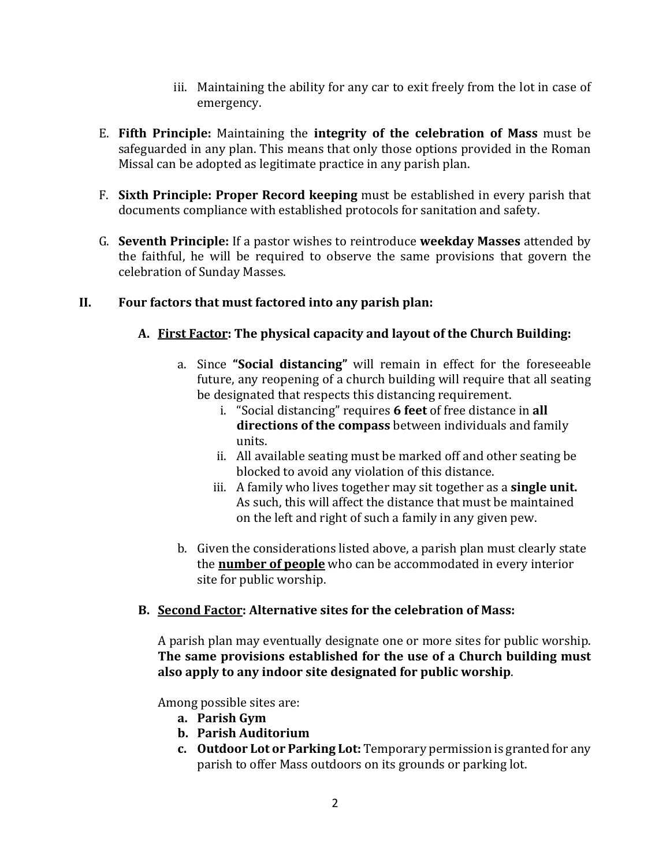- iii. Maintaining the ability for any car to exit freely from the lot in case of emergency.
- E. Fifth Principle: Maintaining the integrity of the celebration of Mass must be safeguarded in any plan. This means that only those options provided in the Roman Missal can be adopted as legitimate practice in any parish plan.
- F. **Sixth Principle: Proper Record keeping** must be established in every parish that documents compliance with established protocols for sanitation and safety.
- G. **Seventh Principle:** If a pastor wishes to reintroduce **weekday Masses** attended by the faithful, he will be required to observe the same provisions that govern the celebration of Sunday Masses.

# **II. Four factors that must factored into any parish plan:**

# A. First Factor: The physical capacity and layout of the Church Building:

- a. Since "Social distancing" will remain in effect for the foreseeable future, any reopening of a church building will require that all seating be designated that respects this distancing requirement.
	- i. "Social distancing" requires 6 feet of free distance in all **directions of the compass** between individuals and family units.
	- ii. All available seating must be marked off and other seating be blocked to avoid any violation of this distance.
	- iii. A family who lives together may sit together as a **single unit.** As such, this will affect the distance that must be maintained on the left and right of such a family in any given pew.
- b. Given the considerations listed above, a parish plan must clearly state the **number of people** who can be accommodated in every interior site for public worship.

# **B. Second Factor: Alternative sites for the celebration of Mass:**

A parish plan may eventually designate one or more sites for public worship. The same provisions established for the use of a Church building must **also apply to any indoor site designated for public worship**.

Among possible sites are:

- **a. Parish Gym**
- **b. Parish Auditorium**
- **c.** Outdoor Lot or Parking Lot: Temporary permission is granted for any parish to offer Mass outdoors on its grounds or parking lot.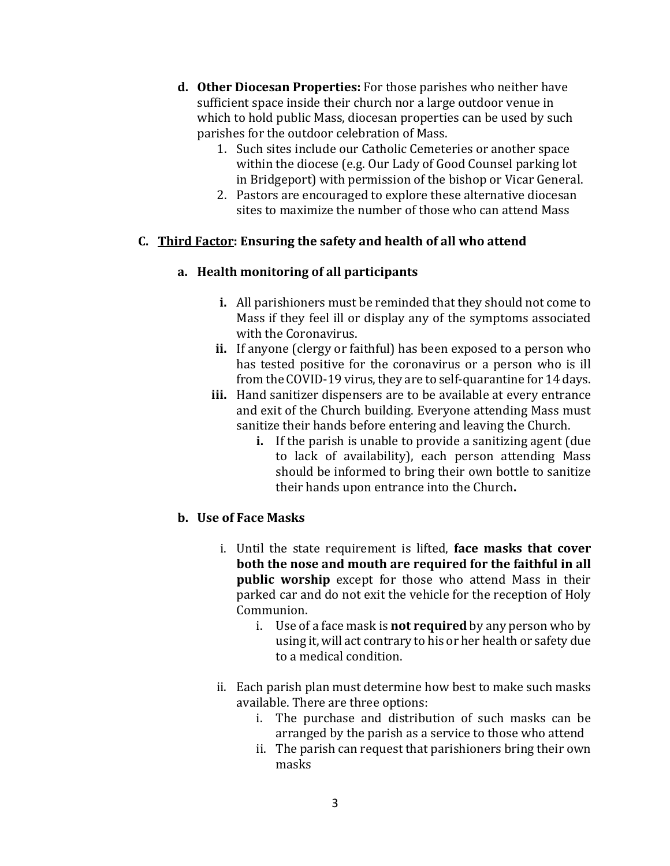- **d.** Other Diocesan Properties: For those parishes who neither have sufficient space inside their church nor a large outdoor venue in which to hold public Mass, diocesan properties can be used by such parishes for the outdoor celebration of Mass.
	- 1. Such sites include our Catholic Cemeteries or another space within the diocese (e.g. Our Lady of Good Counsel parking lot in Bridgeport) with permission of the bishop or Vicar General.
	- 2. Pastors are encouraged to explore these alternative diocesan sites to maximize the number of those who can attend Mass

# **C. Third Factor: Ensuring the safety and health of all who attend**

## **a. Health monitoring of all participants**

- **i.** All parishioners must be reminded that they should not come to Mass if they feel ill or display any of the symptoms associated with the Coronavirus.
- **ii.** If anyone (clergy or faithful) has been exposed to a person who has tested positive for the coronavirus or a person who is ill from the COVID-19 virus, they are to self-quarantine for 14 days.
- **iii.** Hand sanitizer dispensers are to be available at every entrance and exit of the Church building. Everyone attending Mass must sanitize their hands before entering and leaving the Church.
	- **i.** If the parish is unable to provide a sanitizing agent (due to lack of availability), each person attending Mass should be informed to bring their own bottle to sanitize their hands upon entrance into the Church.

# **b. Use of Face Masks**

- i. Until the state requirement is lifted, **face masks that cover both the nose and mouth are required for the faithful in all public** worship except for those who attend Mass in their parked car and do not exit the vehicle for the reception of Holy Communion.
	- i. Use of a face mask is **not required** by any person who by using it, will act contrary to his or her health or safety due to a medical condition.
- ii. Each parish plan must determine how best to make such masks available. There are three options:
	- i. The purchase and distribution of such masks can be arranged by the parish as a service to those who attend
	- ii. The parish can request that parishioners bring their own masks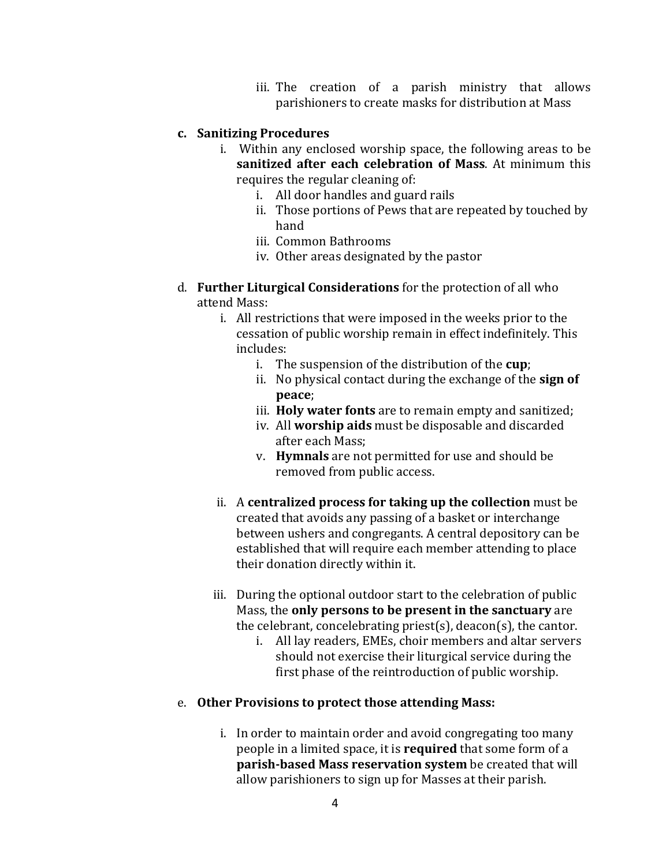iii. The creation of a parish ministry that allows parishioners to create masks for distribution at Mass

#### **c. Sanitizing Procedures**

- i. Within any enclosed worship space, the following areas to be **sanitized after each celebration of Mass**. At minimum this requires the regular cleaning of:
	- i. All door handles and guard rails
	- ii. Those portions of Pews that are repeated by touched by hand
	- iii. Common Bathrooms
	- iv. Other areas designated by the pastor
- d. **Further Liturgical Considerations** for the protection of all who attend Mass:
	- i. All restrictions that were imposed in the weeks prior to the cessation of public worship remain in effect indefinitely. This includes:
		- i. The suspension of the distribution of the **cup**;
		- ii. No physical contact during the exchange of the **sign of peace**;
		- iii. **Holy water fonts** are to remain empty and sanitized;
		- iv. All worship aids must be disposable and discarded after each Mass:
		- v. **Hymnals** are not permitted for use and should be removed from public access.
	- ii. A **centralized process for taking up the collection** must be created that avoids any passing of a basket or interchange between ushers and congregants. A central depository can be established that will require each member attending to place their donation directly within it.
	- iii. During the optional outdoor start to the celebration of public Mass, the **only persons to be present in the sanctuary** are the celebrant, concelebrating priest(s), deacon(s), the cantor.
		- i. All lay readers, EMEs, choir members and altar servers should not exercise their liturgical service during the first phase of the reintroduction of public worship.

#### e. Other Provisions to protect those attending Mass:

i. In order to maintain order and avoid congregating too many people in a limited space, it is **required** that some form of a **parish-based Mass reservation system** be created that will allow parishioners to sign up for Masses at their parish.